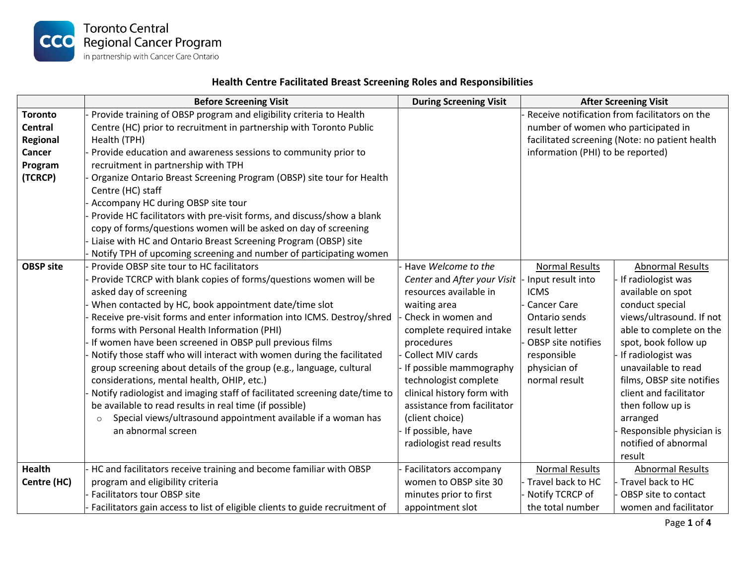

## **Health Centre Facilitated Breast Screening Roles and Responsibilities**

|                  | <b>Before Screening Visit</b>                                                | <b>During Screening Visit</b> |                                                | <b>After Screening Visit</b> |  |
|------------------|------------------------------------------------------------------------------|-------------------------------|------------------------------------------------|------------------------------|--|
| <b>Toronto</b>   | Provide training of OBSP program and eligibility criteria to Health          |                               | Receive notification from facilitators on the  |                              |  |
| <b>Central</b>   | Centre (HC) prior to recruitment in partnership with Toronto Public          |                               | number of women who participated in            |                              |  |
| Regional         | Health (TPH)                                                                 |                               | facilitated screening (Note: no patient health |                              |  |
| Cancer           | Provide education and awareness sessions to community prior to               |                               | information (PHI) to be reported)              |                              |  |
| Program          | recruitment in partnership with TPH                                          |                               |                                                |                              |  |
| (TCRCP)          | Organize Ontario Breast Screening Program (OBSP) site tour for Health        |                               |                                                |                              |  |
|                  | Centre (HC) staff                                                            |                               |                                                |                              |  |
|                  | Accompany HC during OBSP site tour                                           |                               |                                                |                              |  |
|                  | Provide HC facilitators with pre-visit forms, and discuss/show a blank       |                               |                                                |                              |  |
|                  | copy of forms/questions women will be asked on day of screening              |                               |                                                |                              |  |
|                  | Liaise with HC and Ontario Breast Screening Program (OBSP) site              |                               |                                                |                              |  |
|                  | Notify TPH of upcoming screening and number of participating women           |                               |                                                |                              |  |
| <b>OBSP site</b> | Provide OBSP site tour to HC facilitators                                    | Have Welcome to the           | <b>Normal Results</b>                          | <b>Abnormal Results</b>      |  |
|                  | Provide TCRCP with blank copies of forms/questions women will be             | Center and After your Visit   | Input result into                              | If radiologist was           |  |
|                  | asked day of screening                                                       | resources available in        | <b>ICMS</b>                                    | available on spot            |  |
|                  | When contacted by HC, book appointment date/time slot                        | waiting area                  | <b>Cancer Care</b>                             | conduct special              |  |
|                  | Receive pre-visit forms and enter information into ICMS. Destroy/shred       | Check in women and            | Ontario sends                                  | views/ultrasound. If not     |  |
|                  | forms with Personal Health Information (PHI)                                 | complete required intake      | result letter                                  | able to complete on the      |  |
|                  | If women have been screened in OBSP pull previous films                      | procedures                    | OBSP site notifies                             | spot, book follow up         |  |
|                  | Notify those staff who will interact with women during the facilitated       | Collect MIV cards             | responsible                                    | If radiologist was           |  |
|                  | group screening about details of the group (e.g., language, cultural         | If possible mammography       | physician of                                   | unavailable to read          |  |
|                  | considerations, mental health, OHIP, etc.)                                   | technologist complete         | normal result                                  | films, OBSP site notifies    |  |
|                  | Notify radiologist and imaging staff of facilitated screening date/time to   | clinical history form with    |                                                | client and facilitator       |  |
|                  | be available to read results in real time (if possible)                      | assistance from facilitator   |                                                | then follow up is            |  |
|                  | Special views/ultrasound appointment available if a woman has<br>$\circ$     | (client choice)               |                                                | arranged                     |  |
|                  | an abnormal screen                                                           | If possible, have             |                                                | Responsible physician is     |  |
|                  |                                                                              | radiologist read results      |                                                | notified of abnormal         |  |
|                  |                                                                              |                               |                                                | result                       |  |
| <b>Health</b>    | HC and facilitators receive training and become familiar with OBSP           | Facilitators accompany        | <b>Normal Results</b>                          | <b>Abnormal Results</b>      |  |
| Centre (HC)      | program and eligibility criteria                                             | women to OBSP site 30         | Travel back to HC                              | Travel back to HC            |  |
|                  | Facilitators tour OBSP site                                                  | minutes prior to first        | Notify TCRCP of                                | OBSP site to contact         |  |
|                  | Facilitators gain access to list of eligible clients to guide recruitment of | appointment slot              | the total number                               | women and facilitator        |  |

Page **1** of **4**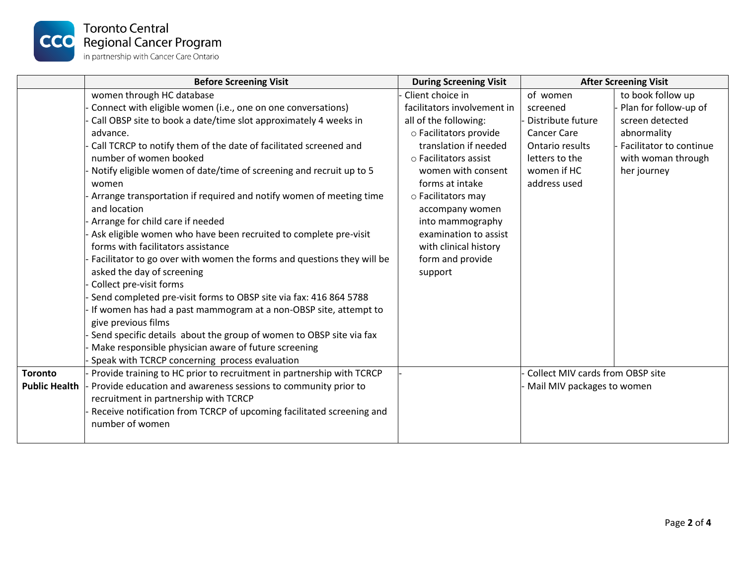

|                                        | <b>Before Screening Visit</b>                                                                                                                                                                                                                                                                                                                                                                                                                                                                                                                                                                                                                                                                                                                                                                                                                                                                                                                                                                                                                                                     | <b>During Screening Visit</b>                                                                                                                                                                                                                                                                                                               | <b>After Screening Visit</b>                                                                                                        |                                                                                                                                              |
|----------------------------------------|-----------------------------------------------------------------------------------------------------------------------------------------------------------------------------------------------------------------------------------------------------------------------------------------------------------------------------------------------------------------------------------------------------------------------------------------------------------------------------------------------------------------------------------------------------------------------------------------------------------------------------------------------------------------------------------------------------------------------------------------------------------------------------------------------------------------------------------------------------------------------------------------------------------------------------------------------------------------------------------------------------------------------------------------------------------------------------------|---------------------------------------------------------------------------------------------------------------------------------------------------------------------------------------------------------------------------------------------------------------------------------------------------------------------------------------------|-------------------------------------------------------------------------------------------------------------------------------------|----------------------------------------------------------------------------------------------------------------------------------------------|
|                                        | women through HC database<br>Connect with eligible women (i.e., one on one conversations)<br>Call OBSP site to book a date/time slot approximately 4 weeks in<br>advance.<br>Call TCRCP to notify them of the date of facilitated screened and<br>number of women booked<br>Notify eligible women of date/time of screening and recruit up to 5<br>women<br>Arrange transportation if required and notify women of meeting time<br>and location<br>Arrange for child care if needed<br>Ask eligible women who have been recruited to complete pre-visit<br>forms with facilitators assistance<br>Facilitator to go over with women the forms and questions they will be<br>asked the day of screening<br>Collect pre-visit forms<br>Send completed pre-visit forms to OBSP site via fax: 416 864 5788<br>If women has had a past mammogram at a non-OBSP site, attempt to<br>give previous films<br>Send specific details about the group of women to OBSP site via fax<br>Make responsible physician aware of future screening<br>Speak with TCRCP concerning process evaluation | Client choice in<br>facilitators involvement in<br>all of the following:<br>o Facilitators provide<br>translation if needed<br>○ Facilitators assist<br>women with consent<br>forms at intake<br>o Facilitators may<br>accompany women<br>into mammography<br>examination to assist<br>with clinical history<br>form and provide<br>support | of women<br>screened<br>Distribute future<br><b>Cancer Care</b><br>Ontario results<br>letters to the<br>women if HC<br>address used | to book follow up<br>Plan for follow-up of<br>screen detected<br>abnormality<br>Facilitator to continue<br>with woman through<br>her journey |
| <b>Toronto</b><br><b>Public Health</b> | Provide training to HC prior to recruitment in partnership with TCRCP<br>Provide education and awareness sessions to community prior to<br>recruitment in partnership with TCRCP<br>Receive notification from TCRCP of upcoming facilitated screening and<br>number of women                                                                                                                                                                                                                                                                                                                                                                                                                                                                                                                                                                                                                                                                                                                                                                                                      |                                                                                                                                                                                                                                                                                                                                             | Collect MIV cards from OBSP site<br>Mail MIV packages to women                                                                      |                                                                                                                                              |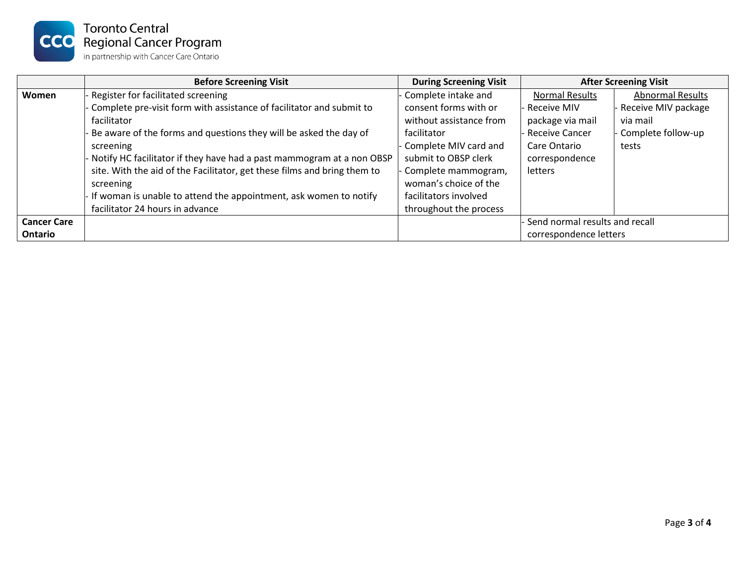

|                    | <b>Before Screening Visit</b>                                            | <b>During Screening Visit</b> | <b>After Screening Visit</b>     |                         |  |
|--------------------|--------------------------------------------------------------------------|-------------------------------|----------------------------------|-------------------------|--|
| Women              | Register for facilitated screening                                       | Complete intake and           | <b>Normal Results</b>            | <b>Abnormal Results</b> |  |
|                    | - Complete pre-visit form with assistance of facilitator and submit to   | consent forms with or         | - Receive MIV                    | Receive MIV package     |  |
|                    | facilitator                                                              | without assistance from       | package via mail                 | via mail                |  |
|                    | Be aware of the forms and questions they will be asked the day of        | facilitator                   | - Receive Cancer                 | Complete follow-up      |  |
|                    | screening                                                                | Complete MIV card and         | Care Ontario                     | tests                   |  |
|                    | Notify HC facilitator if they have had a past mammogram at a non OBSP    | submit to OBSP clerk          | correspondence                   |                         |  |
|                    | site. With the aid of the Facilitator, get these films and bring them to | Complete mammogram,           | letters                          |                         |  |
|                    | screening                                                                | woman's choice of the         |                                  |                         |  |
|                    | If woman is unable to attend the appointment, ask women to notify        | facilitators involved         |                                  |                         |  |
|                    | facilitator 24 hours in advance                                          | throughout the process        |                                  |                         |  |
| <b>Cancer Care</b> |                                                                          |                               | - Send normal results and recall |                         |  |
| Ontario            |                                                                          |                               | correspondence letters           |                         |  |